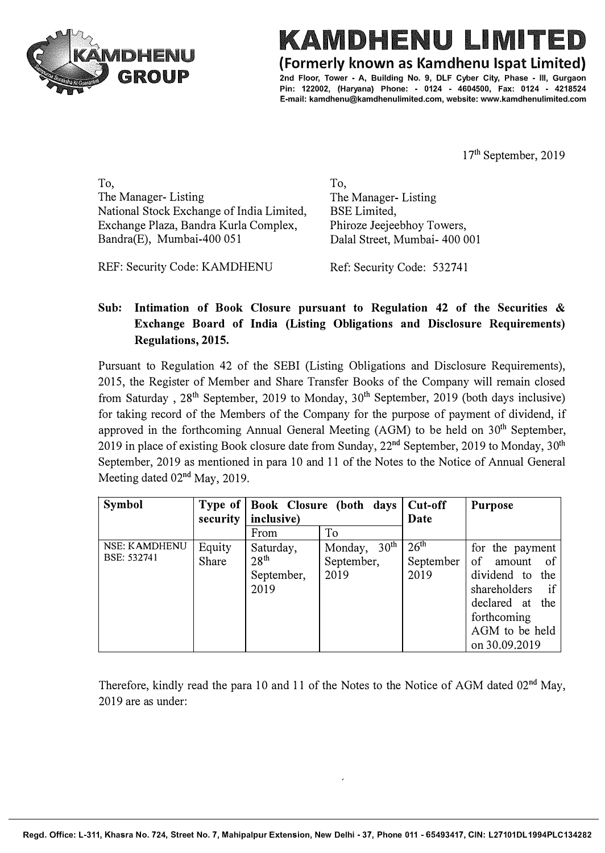

## KAMDHENU LIMIT

**(Formerly known as Kamdhenu lspat Limited)** 

**2nd Floor, Tower - A, Building No. 9, DLF Cyber City, Phase - Ill, Gurgaon Pin: 122002, (Haryana) Phone: - 0124 - 4604500, Fax: 0124 - 4218524 E-mail: kamdhenu@kamdhenulimited.com, website: www.kamdhenulimited.com**

17<sup>th</sup> September, 2019

To, The Manager- Listing National Stock Exchange of India Limited, Exchange Plaza, Bandra Kurla Complex, Bandra(E), Mumbai-400 051

To, The Manager- Listing BSE Limited, Phiroze Jeejeebhoy Towers, Dalal Street, Mumbai- 400 001

REF: Security Code: KAMDHENU Ref: Security Code: 532741

## **Sub: Intimation of Book Closure pursuant to Regulation 42 of the Securities** & **Exchange Board of India (Listing Obligations and Disclosure Requirements) Regulations, 2015.**

Pursuant to Regulation 42 of the SEBI (Listing Obligations and Disclosure Requirements), 2015, the Register of Member and Share Transfer Books of the Company will remain closed from Saturday,  $28^{th}$  September, 2019 to Monday,  $30^{th}$  September, 2019 (both days inclusive) for taking record of the Members of the Company for the purpose of payment of dividend, if approved in the forthcoming Annual General Meeting  $(AGM)$  to be held on  $30<sup>th</sup>$  September, 2019 in place of existing Book closure date from Sunday,  $22<sup>nd</sup>$  September, 2019 to Monday, 30<sup>th</sup> September, 2019 as mentioned in para 10 and 11 of the Notes to the Notice of Annual General Meeting dated 02<sup>nd</sup> May, 2019.

| Symbol        | Type of<br>security | Book Closure (both days<br>inclusive) |                             | Cut-off<br>Date  | <b>Purpose</b>                |
|---------------|---------------------|---------------------------------------|-----------------------------|------------------|-------------------------------|
|               |                     | From                                  | To                          |                  |                               |
| NSE: KAMDHENU | Equity              | Saturday,                             | 30 <sup>th</sup><br>Monday, | 26 <sup>th</sup> | for the payment               |
| BSE: 532741   | Share               | 28 <sup>th</sup>                      | September,                  | September        | of<br>amount<br><sub>of</sub> |
|               |                     | September,                            | 2019                        | 2019             | dividend to<br>the            |
|               |                     | 2019                                  |                             |                  | shareholders<br>if            |
|               |                     |                                       |                             |                  | declared at the               |
|               |                     |                                       |                             |                  | forthcoming                   |
|               |                     |                                       |                             |                  | AGM to be held                |
|               |                     |                                       |                             |                  | on 30.09.2019                 |

Therefore, kindly read the para 10 and 11 of the Notes to the Notice of AGM dated 02<sup>nd</sup> May, 2019 are as under: